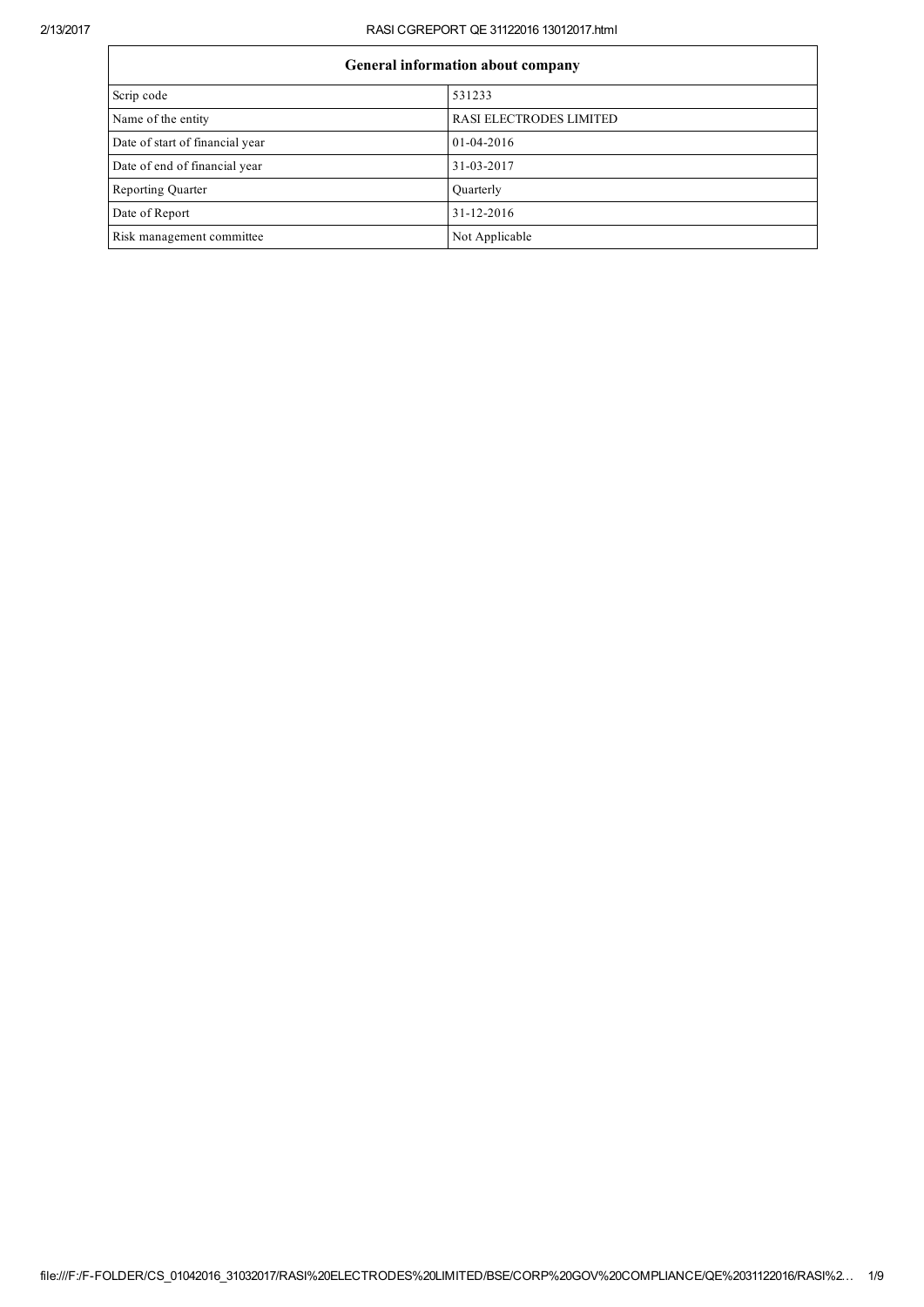## 2/13/2017 RASI CGREPORT QE 31122016 13012017.html

| <b>General information about company</b> |                         |  |
|------------------------------------------|-------------------------|--|
| Scrip code                               | 531233                  |  |
| Name of the entity                       | RASI ELECTRODES LIMITED |  |
| Date of start of financial year          | $01-04-2016$            |  |
| Date of end of financial year            | 31-03-2017              |  |
| <b>Reporting Quarter</b>                 | Quarterly               |  |
| Date of Report                           | $31 - 12 - 2016$        |  |
| Risk management committee                | Not Applicable          |  |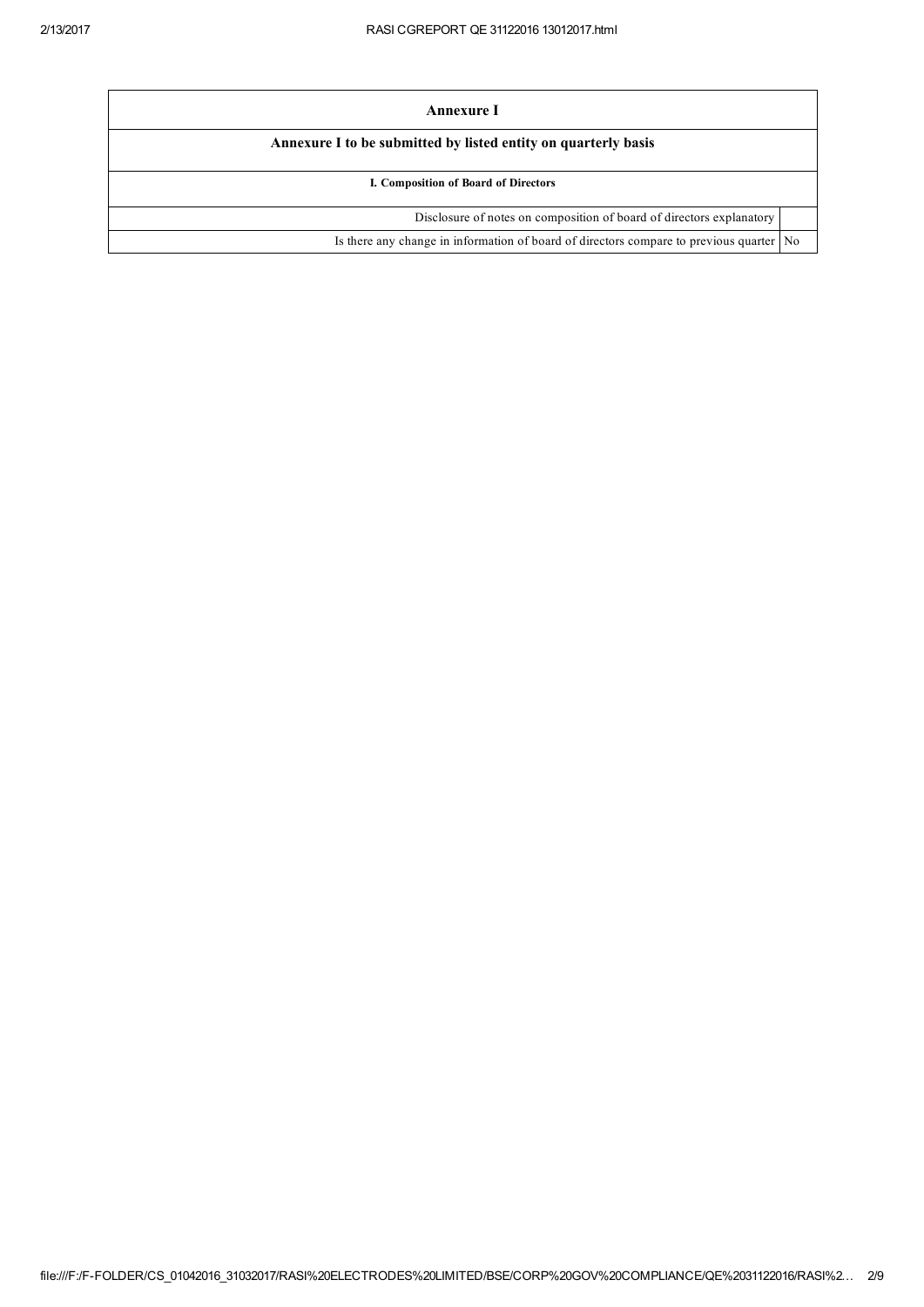| Annexure I                                                                              |  |  |
|-----------------------------------------------------------------------------------------|--|--|
| Annexure I to be submitted by listed entity on quarterly basis                          |  |  |
| I. Composition of Board of Directors                                                    |  |  |
| Disclosure of notes on composition of board of directors explanatory                    |  |  |
| Is there any change in information of board of directors compare to previous quarter No |  |  |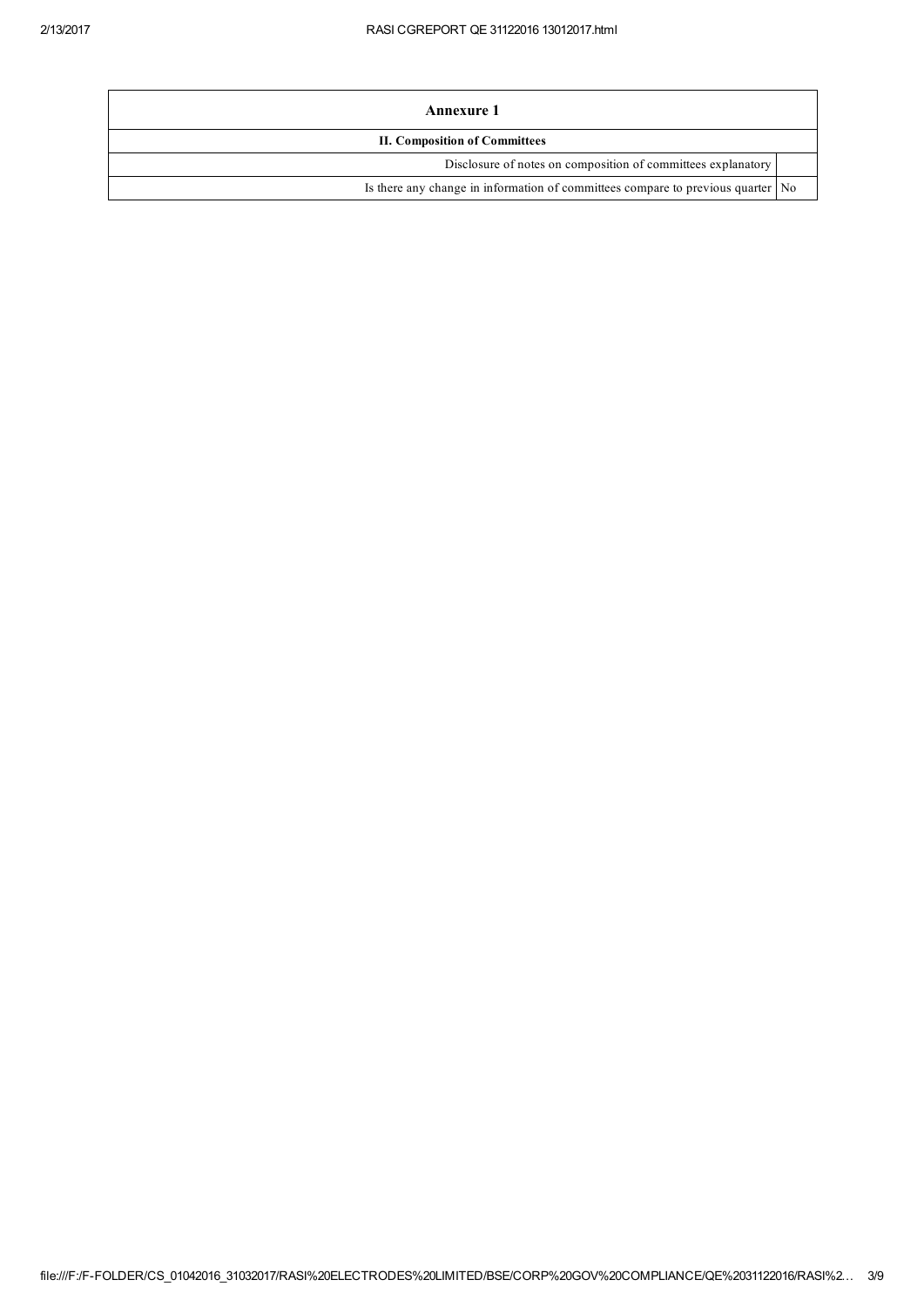| Annexure 1                                                                      |  |  |
|---------------------------------------------------------------------------------|--|--|
| <b>II. Composition of Committees</b>                                            |  |  |
| Disclosure of notes on composition of committees explanatory                    |  |  |
| Is there any change in information of committees compare to previous quarter No |  |  |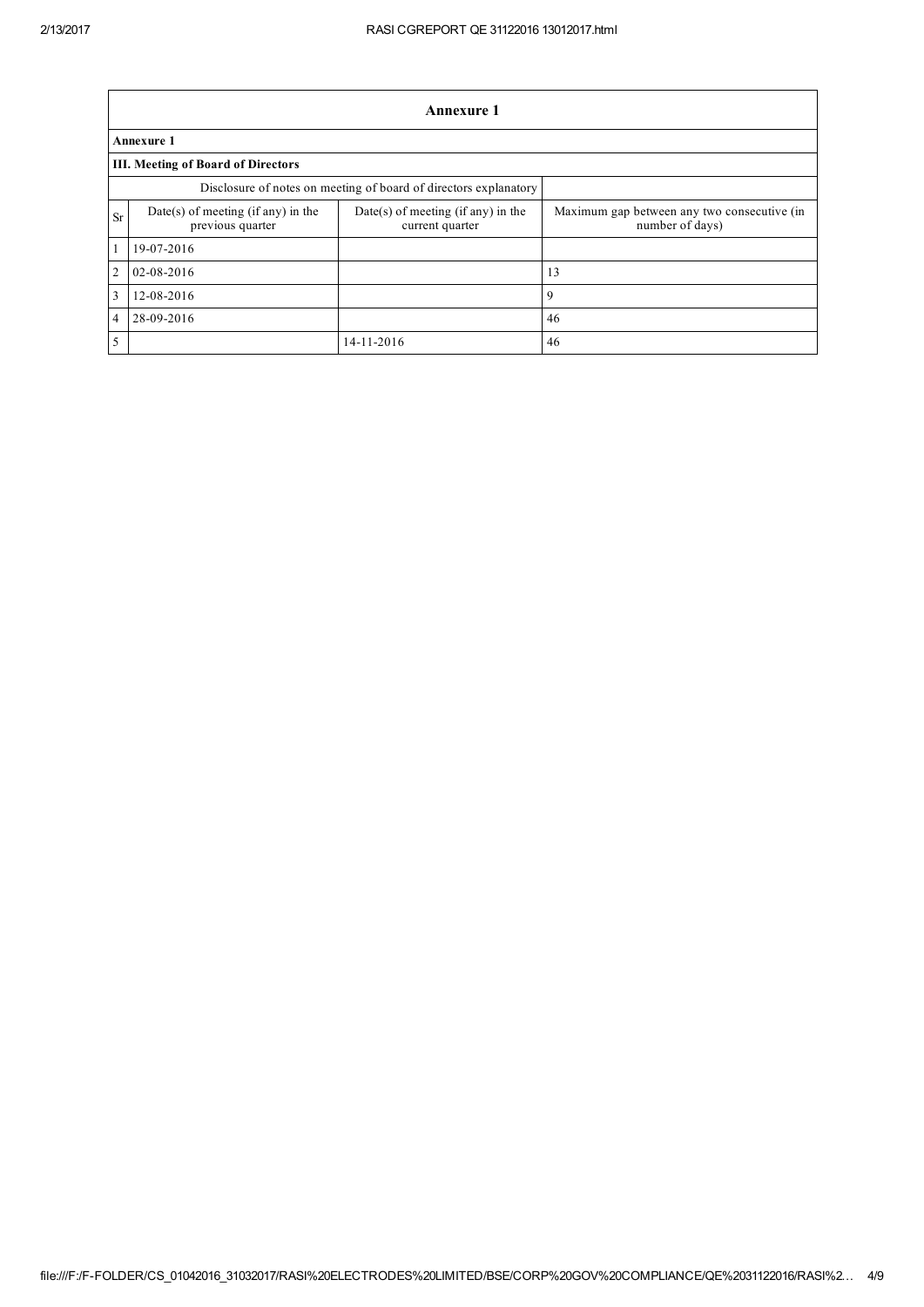|                | Annexure 1                                                       |                                                       |                                                                |  |  |
|----------------|------------------------------------------------------------------|-------------------------------------------------------|----------------------------------------------------------------|--|--|
|                | <b>Annexure 1</b>                                                |                                                       |                                                                |  |  |
|                | <b>III. Meeting of Board of Directors</b>                        |                                                       |                                                                |  |  |
|                | Disclosure of notes on meeting of board of directors explanatory |                                                       |                                                                |  |  |
| <b>Sr</b>      | $Date(s)$ of meeting (if any) in the<br>previous quarter         | Date(s) of meeting (if any) in the<br>current quarter | Maximum gap between any two consecutive (in<br>number of days) |  |  |
|                | 19-07-2016                                                       |                                                       |                                                                |  |  |
| $\overline{2}$ | 02-08-2016                                                       |                                                       | 13                                                             |  |  |
| 3              | 12-08-2016                                                       |                                                       | 9                                                              |  |  |
| 4              | 28-09-2016                                                       |                                                       | 46                                                             |  |  |
| 5              |                                                                  | 14-11-2016                                            | 46                                                             |  |  |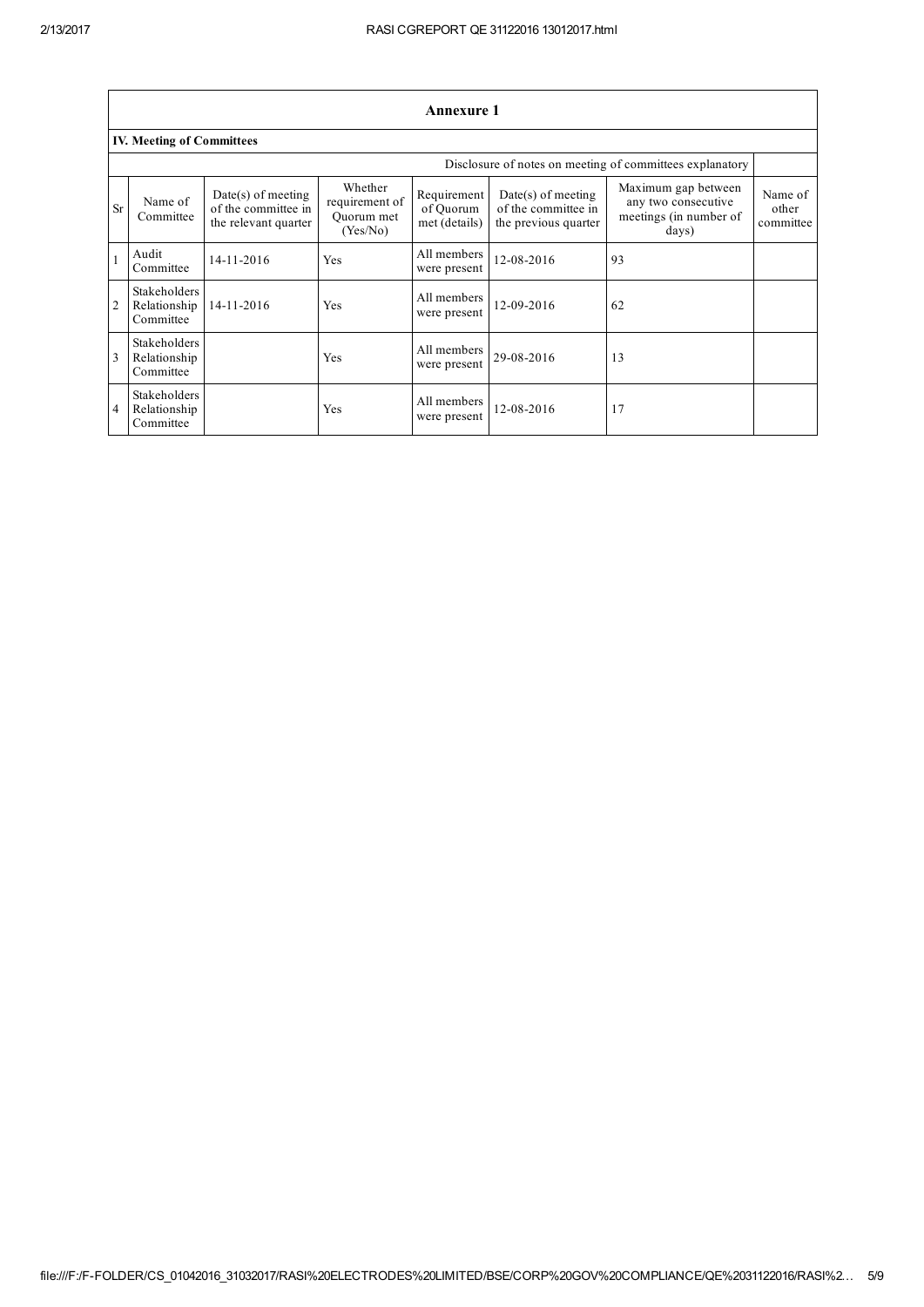|                | <b>Annexure 1</b>                         |                                                                     |                                                     |                                           |                                                                     |                                                                               |                               |
|----------------|-------------------------------------------|---------------------------------------------------------------------|-----------------------------------------------------|-------------------------------------------|---------------------------------------------------------------------|-------------------------------------------------------------------------------|-------------------------------|
|                | <b>IV. Meeting of Committees</b>          |                                                                     |                                                     |                                           |                                                                     |                                                                               |                               |
|                |                                           |                                                                     |                                                     |                                           |                                                                     | Disclosure of notes on meeting of committees explanatory                      |                               |
| <b>Sr</b>      | Name of<br>Committee                      | $Date(s)$ of meeting<br>of the committee in<br>the relevant quarter | Whether<br>requirement of<br>Ouorum met<br>(Yes/No) | Requirement<br>of Ouorum<br>met (details) | $Date(s)$ of meeting<br>of the committee in<br>the previous quarter | Maximum gap between<br>any two consecutive<br>meetings (in number of<br>days) | Name of<br>other<br>committee |
| 1              | Audit<br>Committee                        | 14-11-2016                                                          | Yes                                                 | All members<br>were present               | 12-08-2016                                                          | 93                                                                            |                               |
| $\overline{2}$ | Stakeholders<br>Relationship<br>Committee | 14-11-2016                                                          | Yes                                                 | All members<br>were present               | 12-09-2016                                                          | 62                                                                            |                               |
|                | Stakeholders<br>Relationship<br>Committee |                                                                     | Yes                                                 | All members<br>were present               | 29-08-2016                                                          | 13                                                                            |                               |
| 4              | Stakeholders<br>Relationship<br>Committee |                                                                     | Yes                                                 | All members<br>were present               | 12-08-2016                                                          | 17                                                                            |                               |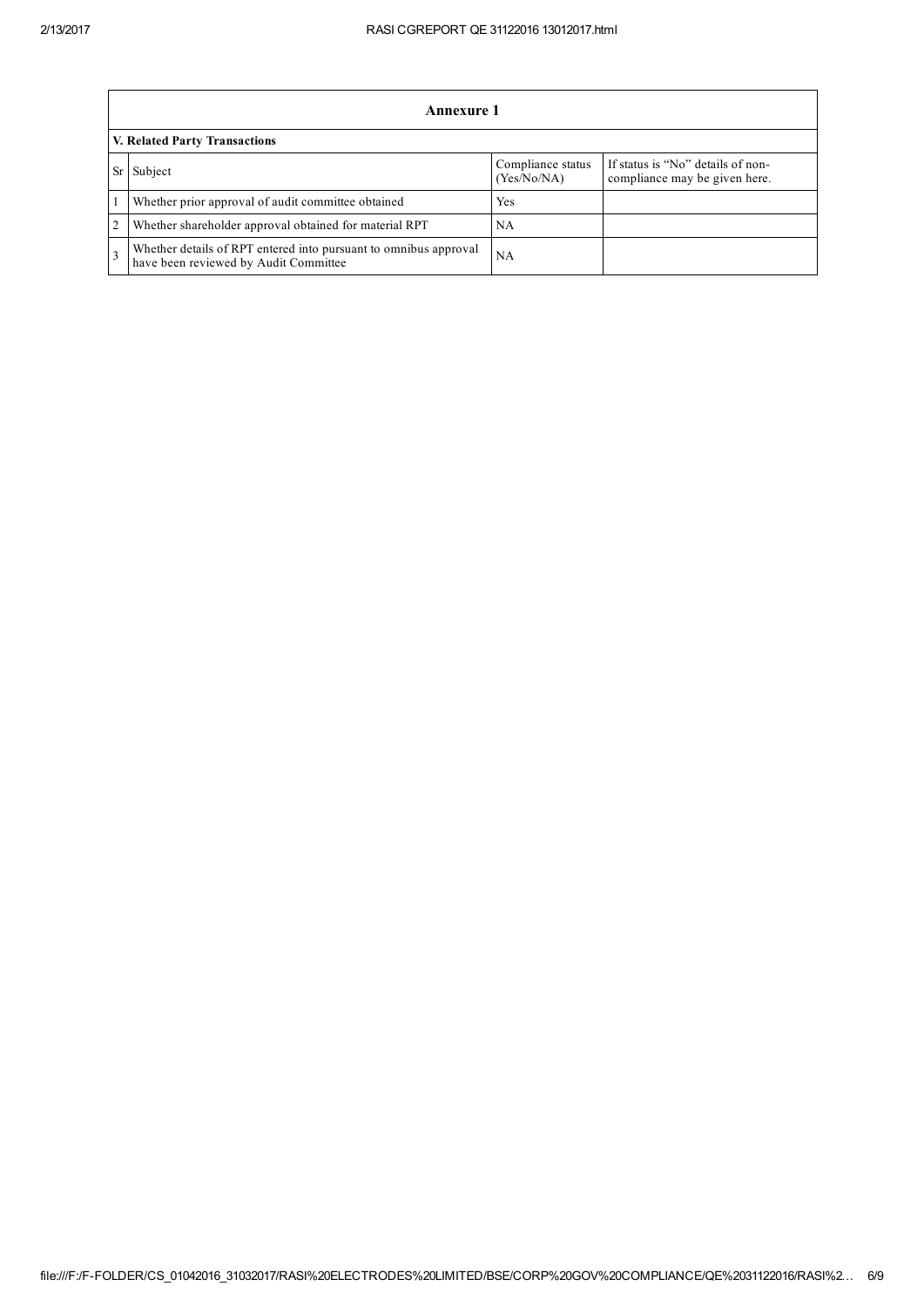|                                      | Annexure 1                                                                                                |                                  |                                                                    |  |  |
|--------------------------------------|-----------------------------------------------------------------------------------------------------------|----------------------------------|--------------------------------------------------------------------|--|--|
| <b>V. Related Party Transactions</b> |                                                                                                           |                                  |                                                                    |  |  |
|                                      | Subject                                                                                                   | Compliance status<br>(Yes/No/NA) | If status is "No" details of non-<br>compliance may be given here. |  |  |
|                                      | Whether prior approval of audit committee obtained                                                        | Yes                              |                                                                    |  |  |
| 2                                    | Whether shareholder approval obtained for material RPT                                                    | NA                               |                                                                    |  |  |
|                                      | Whether details of RPT entered into pursuant to omnibus approval<br>have been reviewed by Audit Committee | NA                               |                                                                    |  |  |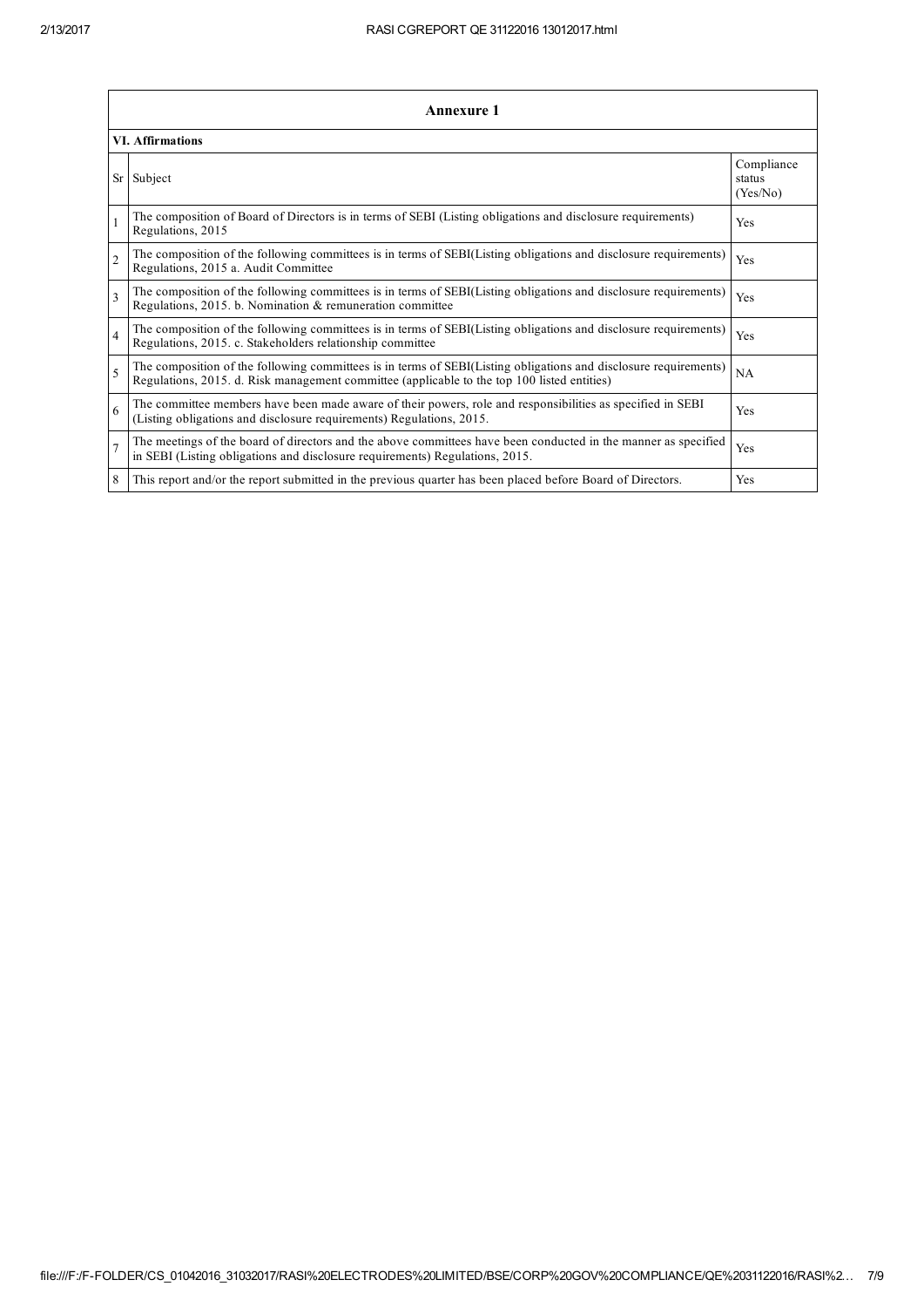|                          | <b>Annexure 1</b>                                                                                                                                                                                               |                                  |  |  |  |
|--------------------------|-----------------------------------------------------------------------------------------------------------------------------------------------------------------------------------------------------------------|----------------------------------|--|--|--|
|                          | <b>VI.</b> Affirmations                                                                                                                                                                                         |                                  |  |  |  |
| Sr                       | Subject                                                                                                                                                                                                         | Compliance<br>status<br>(Yes/No) |  |  |  |
|                          | The composition of Board of Directors is in terms of SEBI (Listing obligations and disclosure requirements)<br>Regulations, 2015                                                                                | Yes                              |  |  |  |
| $\mathfrak{D}$           | The composition of the following committees is in terms of SEBI(Listing obligations and disclosure requirements)<br>Regulations, 2015 a. Audit Committee                                                        | Yes                              |  |  |  |
| $\overline{\mathbf{3}}$  | The composition of the following committees is in terms of SEBI(Listing obligations and disclosure requirements)<br>Regulations, 2015. b. Nomination & remuneration committee                                   | Yes                              |  |  |  |
| 4                        | The composition of the following committees is in terms of SEBI(Listing obligations and disclosure requirements)<br>Regulations, 2015. c. Stakeholders relationship committee                                   | Yes                              |  |  |  |
| $\overline{\phantom{0}}$ | The composition of the following committees is in terms of SEBI(Listing obligations and disclosure requirements)<br>Regulations, 2015. d. Risk management committee (applicable to the top 100 listed entities) | NA                               |  |  |  |
| 6                        | The committee members have been made aware of their powers, role and responsibilities as specified in SEBI<br>(Listing obligations and disclosure requirements) Regulations, 2015.                              | Yes                              |  |  |  |
|                          | The meetings of the board of directors and the above committees have been conducted in the manner as specified<br>in SEBI (Listing obligations and disclosure requirements) Regulations, 2015.                  | Yes                              |  |  |  |
| 8                        | This report and/or the report submitted in the previous quarter has been placed before Board of Directors.                                                                                                      | Yes                              |  |  |  |